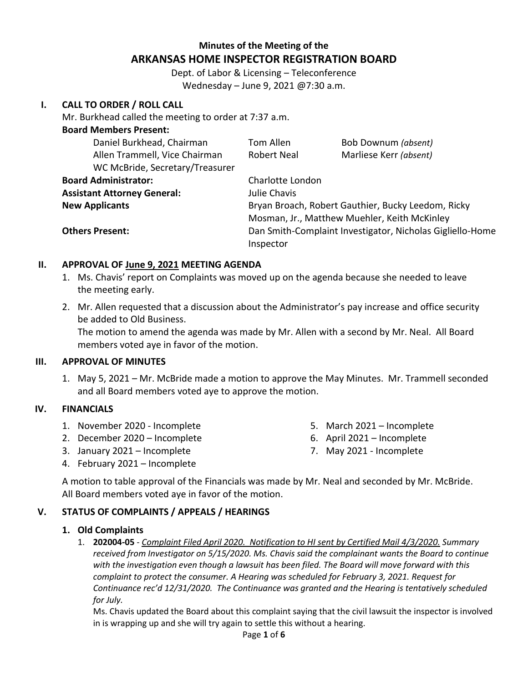# **Minutes of the Meeting of the ARKANSAS HOME INSPECTOR REGISTRATION BOARD**

Dept. of Labor & Licensing – Teleconference Wednesday – June 9, 2021 @7:30 a.m.

### **I. CALL TO ORDER / ROLL CALL**

Mr. Burkhead called the meeting to order at 7:37 a.m.

| <b>Board Members Present:</b>      |                                                           |                        |  |
|------------------------------------|-----------------------------------------------------------|------------------------|--|
| Daniel Burkhead, Chairman          | Tom Allen                                                 | Bob Downum (absent)    |  |
| Allen Trammell, Vice Chairman      | Robert Neal                                               | Marliese Kerr (absent) |  |
| WC McBride, Secretary/Treasurer    |                                                           |                        |  |
| <b>Board Administrator:</b>        | Charlotte London                                          |                        |  |
| <b>Assistant Attorney General:</b> | Julie Chavis                                              |                        |  |
| <b>New Applicants</b>              | Bryan Broach, Robert Gauthier, Bucky Leedom, Ricky        |                        |  |
|                                    | Mosman, Jr., Matthew Muehler, Keith McKinley              |                        |  |
| <b>Others Present:</b>             | Dan Smith-Complaint Investigator, Nicholas Gigliello-Home |                        |  |
|                                    | Inspector                                                 |                        |  |

### **II. APPROVAL OF June 9, 2021 MEETING AGENDA**

- 1. Ms. Chavis' report on Complaints was moved up on the agenda because she needed to leave the meeting early.
- 2. Mr. Allen requested that a discussion about the Administrator's pay increase and office security be added to Old Business.

The motion to amend the agenda was made by Mr. Allen with a second by Mr. Neal. All Board members voted aye in favor of the motion.

#### **III. APPROVAL OF MINUTES**

1. May 5, 2021 – Mr. McBride made a motion to approve the May Minutes. Mr. Trammell seconded and all Board members voted aye to approve the motion.

## **IV. FINANCIALS**

- 1. November 2020 Incomplete
- 2. December 2020 Incomplete
- 3. January 2021 Incomplete
- 4. February 2021 Incomplete
- 5. March 2021 Incomplete
- 6. April 2021 Incomplete
- 7. May 2021 Incomplete

A motion to table approval of the Financials was made by Mr. Neal and seconded by Mr. McBride. All Board members voted aye in favor of the motion.

### **V. STATUS OF COMPLAINTS / APPEALS / HEARINGS**

#### **1. Old Complaints**

1. **202004-05** - *Complaint Filed April 2020. Notification to HI sent by Certified Mail 4/3/2020. Summary received from Investigator on 5/15/2020. Ms. Chavis said the complainant wants the Board to continue with the investigation even though a lawsuit has been filed. The Board will move forward with this complaint to protect the consumer. A Hearing was scheduled for February 3, 2021. Request for Continuance rec'd 12/31/2020. The Continuance was granted and the Hearing is tentatively scheduled for July.* 

Ms. Chavis updated the Board about this complaint saying that the civil lawsuit the inspector is involved in is wrapping up and she will try again to settle this without a hearing.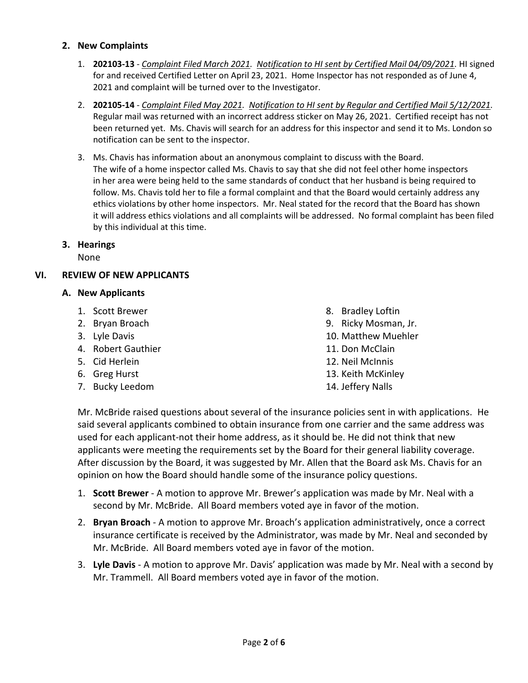#### **2. New Complaints**

- 1. **202103-13** *Complaint Filed March 2021. Notification to HI sent by Certified Mail 04/09/2021.* HI signed for and received Certified Letter on April 23, 2021. Home Inspector has not responded as of June 4, 2021 and complaint will be turned over to the Investigator.
- 2. **202105-14** *Complaint Filed May 2021. Notification to HI sent by Regular and Certified Mail 5/12/2021.* Regular mail was returned with an incorrect address sticker on May 26, 2021. Certified receipt has not been returned yet. Ms. Chavis will search for an address for this inspector and send it to Ms. London so notification can be sent to the inspector.
- 3. Ms. Chavis has information about an anonymous complaint to discuss with the Board. The wife of a home inspector called Ms. Chavis to say that she did not feel other home inspectors in her area were being held to the same standards of conduct that her husband is being required to follow. Ms. Chavis told her to file a formal complaint and that the Board would certainly address any ethics violations by other home inspectors. Mr. Neal stated for the record that the Board has shown it will address ethics violations and all complaints will be addressed. No formal complaint has been filed by this individual at this time.

### **3. Hearings**

None

### **VI. REVIEW OF NEW APPLICANTS**

#### **A. New Applicants**

- 1. Scott Brewer
- 2. Bryan Broach
- 3. Lyle Davis
- 4. Robert Gauthier
- 5. Cid Herlein
- 6. Greg Hurst
- 7. Bucky Leedom
- 8. Bradley Loftin
- 9. Ricky Mosman, Jr.
- 10. Matthew Muehler
- 11. Don McClain
- 12. Neil McInnis
- 13. Keith McKinley
- 14. Jeffery Nalls

Mr. McBride raised questions about several of the insurance policies sent in with applications. He said several applicants combined to obtain insurance from one carrier and the same address was used for each applicant-not their home address, as it should be. He did not think that new applicants were meeting the requirements set by the Board for their general liability coverage. After discussion by the Board, it was suggested by Mr. Allen that the Board ask Ms. Chavis for an opinion on how the Board should handle some of the insurance policy questions.

- 1. **Scott Brewer** A motion to approve Mr. Brewer's application was made by Mr. Neal with a second by Mr. McBride. All Board members voted aye in favor of the motion.
- 2. **Bryan Broach** A motion to approve Mr. Broach's application administratively, once a correct insurance certificate is received by the Administrator, was made by Mr. Neal and seconded by Mr. McBride. All Board members voted aye in favor of the motion.
- 3. **Lyle Davis** A motion to approve Mr. Davis' application was made by Mr. Neal with a second by Mr. Trammell. All Board members voted aye in favor of the motion.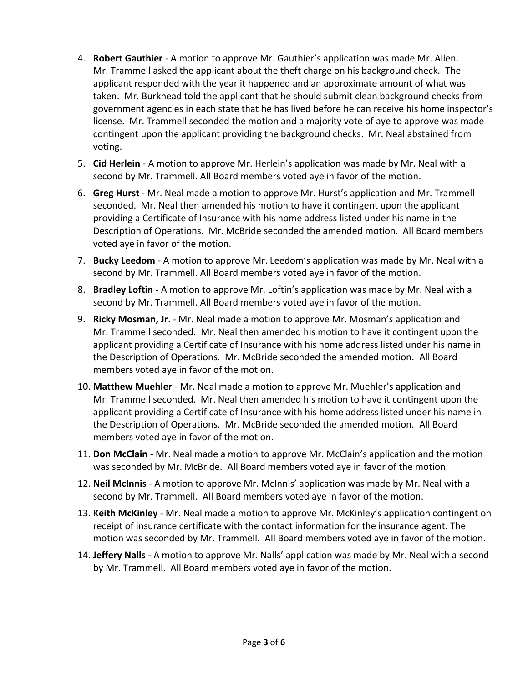- 4. **Robert Gauthier** A motion to approve Mr. Gauthier's application was made Mr. Allen. Mr. Trammell asked the applicant about the theft charge on his background check. The applicant responded with the year it happened and an approximate amount of what was taken. Mr. Burkhead told the applicant that he should submit clean background checks from government agencies in each state that he has lived before he can receive his home inspector's license. Mr. Trammell seconded the motion and a majority vote of aye to approve was made contingent upon the applicant providing the background checks. Mr. Neal abstained from voting.
- 5. **Cid Herlein** A motion to approve Mr. Herlein's application was made by Mr. Neal with a second by Mr. Trammell. All Board members voted aye in favor of the motion.
- 6. **Greg Hurst** Mr. Neal made a motion to approve Mr. Hurst's application and Mr. Trammell seconded. Mr. Neal then amended his motion to have it contingent upon the applicant providing a Certificate of Insurance with his home address listed under his name in the Description of Operations. Mr. McBride seconded the amended motion. All Board members voted aye in favor of the motion.
- 7. **Bucky Leedom** A motion to approve Mr. Leedom's application was made by Mr. Neal with a second by Mr. Trammell. All Board members voted aye in favor of the motion.
- 8. **Bradley Loftin** A motion to approve Mr. Loftin's application was made by Mr. Neal with a second by Mr. Trammell. All Board members voted aye in favor of the motion.
- 9. **Ricky Mosman, Jr**. Mr. Neal made a motion to approve Mr. Mosman's application and Mr. Trammell seconded. Mr. Neal then amended his motion to have it contingent upon the applicant providing a Certificate of Insurance with his home address listed under his name in the Description of Operations. Mr. McBride seconded the amended motion. All Board members voted aye in favor of the motion.
- 10. **Matthew Muehler** Mr. Neal made a motion to approve Mr. Muehler's application and Mr. Trammell seconded. Mr. Neal then amended his motion to have it contingent upon the applicant providing a Certificate of Insurance with his home address listed under his name in the Description of Operations. Mr. McBride seconded the amended motion. All Board members voted aye in favor of the motion.
- 11. **Don McClain** Mr. Neal made a motion to approve Mr. McClain's application and the motion was seconded by Mr. McBride. All Board members voted aye in favor of the motion.
- 12. **Neil McInnis** A motion to approve Mr. McInnis' application was made by Mr. Neal with a second by Mr. Trammell. All Board members voted aye in favor of the motion.
- 13. **Keith McKinley** Mr. Neal made a motion to approve Mr. McKinley's application contingent on receipt of insurance certificate with the contact information for the insurance agent. The motion was seconded by Mr. Trammell. All Board members voted aye in favor of the motion.
- 14. **Jeffery Nalls** A motion to approve Mr. Nalls' application was made by Mr. Neal with a second by Mr. Trammell. All Board members voted aye in favor of the motion.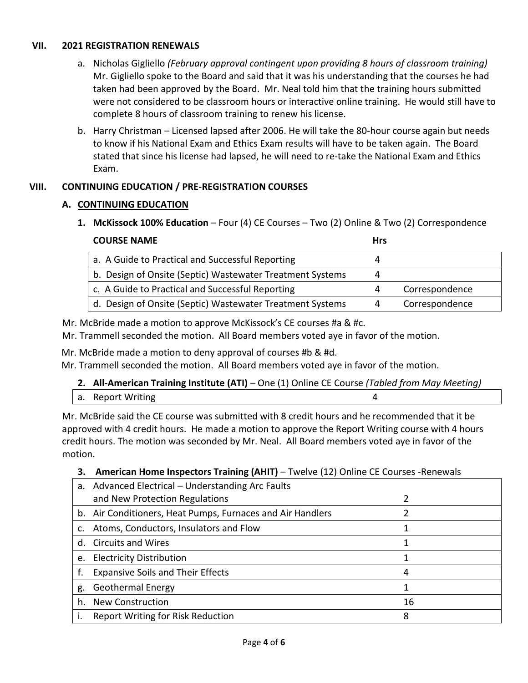### **VII. 2021 REGISTRATION RENEWALS**

- a. Nicholas Gigliello *(February approval contingent upon providing 8 hours of classroom training)* Mr. Gigliello spoke to the Board and said that it was his understanding that the courses he had taken had been approved by the Board. Mr. Neal told him that the training hours submitted were not considered to be classroom hours or interactive online training. He would still have to complete 8 hours of classroom training to renew his license.
- b. Harry Christman Licensed lapsed after 2006. He will take the 80-hour course again but needs to know if his National Exam and Ethics Exam results will have to be taken again. The Board stated that since his license had lapsed, he will need to re-take the National Exam and Ethics Exam.

## **VIII. CONTINUING EDUCATION / PRE-REGISTRATION COURSES**

## **A. CONTINUING EDUCATION**

**1. McKissock 100% Education** – Four (4) CE Courses – Two (2) Online & Two (2) Correspondence

| <b>COURSE NAME</b>                                        |   |                |
|-----------------------------------------------------------|---|----------------|
| a. A Guide to Practical and Successful Reporting          |   |                |
| b. Design of Onsite (Septic) Wastewater Treatment Systems | 4 |                |
| c. A Guide to Practical and Successful Reporting          | 4 | Correspondence |
| d. Design of Onsite (Septic) Wastewater Treatment Systems | 4 | Correspondence |

Mr. McBride made a motion to approve McKissock's CE courses #a & #c.

Mr. Trammell seconded the motion. All Board members voted aye in favor of the motion.

Mr. McBride made a motion to deny approval of courses #b & #d.

Mr. Trammell seconded the motion. All Board members voted aye in favor of the motion.

|                   | 2. All-American Training Institute (ATI) – One (1) Online CE Course (Tabled from May Meeting) |
|-------------------|-----------------------------------------------------------------------------------------------|
| a. Report Writing |                                                                                               |

Mr. McBride said the CE course was submitted with 8 credit hours and he recommended that it be approved with 4 credit hours. He made a motion to approve the Report Writing course with 4 hours credit hours. The motion was seconded by Mr. Neal. All Board members voted aye in favor of the motion.

### **3. American Home Inspectors Training (AHIT)** – Twelve (12) Online CE Courses -Renewals

|    | a. Advanced Electrical – Understanding Arc Faults          |    |
|----|------------------------------------------------------------|----|
|    | and New Protection Regulations                             |    |
|    | b. Air Conditioners, Heat Pumps, Furnaces and Air Handlers |    |
| c. | Atoms, Conductors, Insulators and Flow                     |    |
|    | d. Circuits and Wires                                      |    |
| e. | <b>Electricity Distribution</b>                            |    |
|    | <b>Expansive Soils and Their Effects</b>                   | 4  |
| g. | <b>Geothermal Energy</b>                                   |    |
| h. | <b>New Construction</b>                                    | 16 |
|    | Report Writing for Risk Reduction                          | 8  |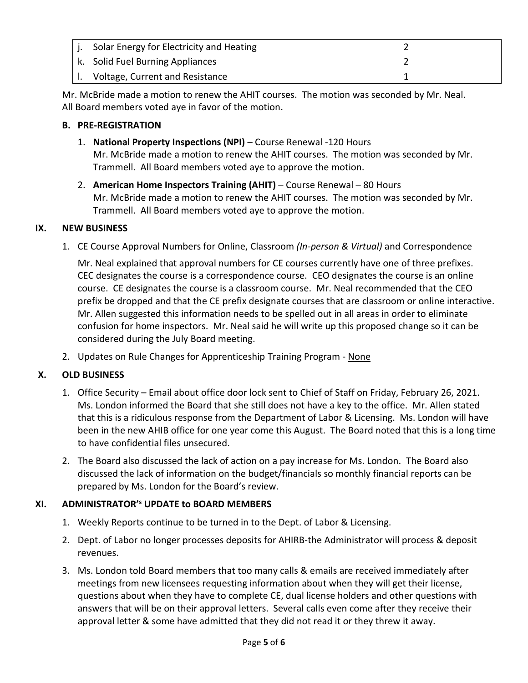| Solar Energy for Electricity and Heating |  |
|------------------------------------------|--|
| k. Solid Fuel Burning Appliances         |  |
| Voltage, Current and Resistance          |  |

Mr. McBride made a motion to renew the AHIT courses. The motion was seconded by Mr. Neal. All Board members voted aye in favor of the motion.

## **B. PRE-REGISTRATION**

- 1. **National Property Inspections (NPI)** Course Renewal -120 Hours Mr. McBride made a motion to renew the AHIT courses. The motion was seconded by Mr. Trammell. All Board members voted aye to approve the motion.
- 2. **American Home Inspectors Training (AHIT)** Course Renewal 80 Hours Mr. McBride made a motion to renew the AHIT courses. The motion was seconded by Mr. Trammell. All Board members voted aye to approve the motion.

### **IX. NEW BUSINESS**

1. CE Course Approval Numbers for Online, Classroom *(In-person & Virtual)* and Correspondence

Mr. Neal explained that approval numbers for CE courses currently have one of three prefixes. CEC designates the course is a correspondence course. CEO designates the course is an online course. CE designates the course is a classroom course. Mr. Neal recommended that the CEO prefix be dropped and that the CE prefix designate courses that are classroom or online interactive. Mr. Allen suggested this information needs to be spelled out in all areas in order to eliminate confusion for home inspectors. Mr. Neal said he will write up this proposed change so it can be considered during the July Board meeting.

2. Updates on Rule Changes for Apprenticeship Training Program - None

## **X. OLD BUSINESS**

- 1. Office Security Email about office door lock sent to Chief of Staff on Friday, February 26, 2021. Ms. London informed the Board that she still does not have a key to the office. Mr. Allen stated that this is a ridiculous response from the Department of Labor & Licensing. Ms. London will have been in the new AHIB office for one year come this August. The Board noted that this is a long time to have confidential files unsecured.
- 2. The Board also discussed the lack of action on a pay increase for Ms. London. The Board also discussed the lack of information on the budget/financials so monthly financial reports can be prepared by Ms. London for the Board's review.

## **XI. ADMINISTRATOR'<sup>s</sup> UPDATE to BOARD MEMBERS**

- 1. Weekly Reports continue to be turned in to the Dept. of Labor & Licensing.
- 2. Dept. of Labor no longer processes deposits for AHIRB-the Administrator will process & deposit revenues.
- 3. Ms. London told Board members that too many calls & emails are received immediately after meetings from new licensees requesting information about when they will get their license, questions about when they have to complete CE, dual license holders and other questions with answers that will be on their approval letters. Several calls even come after they receive their approval letter & some have admitted that they did not read it or they threw it away.